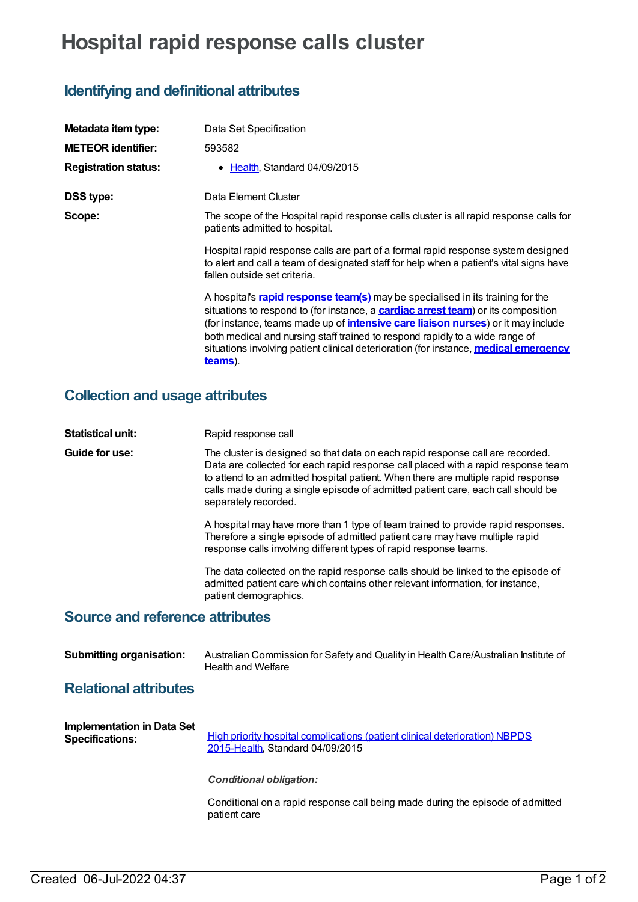# **Hospital rapid response calls cluster**

## **Identifying and definitional attributes**

| Metadata item type:         | Data Set Specification                                                                                                                                                                                                                                                                                                                                                                                                                                                    |
|-----------------------------|---------------------------------------------------------------------------------------------------------------------------------------------------------------------------------------------------------------------------------------------------------------------------------------------------------------------------------------------------------------------------------------------------------------------------------------------------------------------------|
| <b>METEOR identifier:</b>   | 593582                                                                                                                                                                                                                                                                                                                                                                                                                                                                    |
| <b>Registration status:</b> | • Health. Standard 04/09/2015                                                                                                                                                                                                                                                                                                                                                                                                                                             |
| <b>DSS type:</b>            | Data Element Cluster                                                                                                                                                                                                                                                                                                                                                                                                                                                      |
| Scope:                      | The scope of the Hospital rapid response calls cluster is all rapid response calls for<br>patients admitted to hospital.                                                                                                                                                                                                                                                                                                                                                  |
|                             | Hospital rapid response calls are part of a formal rapid response system designed<br>to alert and call a team of designated staff for help when a patient's vital signs have<br>fallen outside set criteria.                                                                                                                                                                                                                                                              |
|                             | A hospital's <b>rapid response team(s)</b> may be specialised in its training for the<br>situations to respond to (for instance, a <b>cardiac arrest team</b> ) or its composition<br>(for instance, teams made up of <i>intensive care liaison nurses</i> ) or it may include<br>both medical and nursing staff trained to respond rapidly to a wide range of<br>situations involving patient clinical deterioration (for instance, medical emergency<br><u>teams)</u> . |

### **Collection and usage attributes**

| <b>Statistical unit:</b>        | Rapid response call                                                                                                                                                                                                                                                                                                                                                  |  |  |
|---------------------------------|----------------------------------------------------------------------------------------------------------------------------------------------------------------------------------------------------------------------------------------------------------------------------------------------------------------------------------------------------------------------|--|--|
| Guide for use:                  | The cluster is designed so that data on each rapid response call are recorded.<br>Data are collected for each rapid response call placed with a rapid response team<br>to attend to an admitted hospital patient. When there are multiple rapid response<br>calls made during a single episode of admitted patient care, each call should be<br>separately recorded. |  |  |
|                                 | A hospital may have more than 1 type of team trained to provide rapid responses.<br>Therefore a single episode of admitted patient care may have multiple rapid<br>response calls involving different types of rapid response teams.                                                                                                                                 |  |  |
|                                 | The data collected on the rapid response calls should be linked to the episode of<br>admitted patient care which contains other relevant information, for instance,<br>patient demographics.                                                                                                                                                                         |  |  |
| Source and reference attributes |                                                                                                                                                                                                                                                                                                                                                                      |  |  |

#### **Source and reference attributes**

| <b>Submitting organisation:</b> | Australian Commission for Safety and Quality in Health Care/Australian Institute of |  |  |
|---------------------------------|-------------------------------------------------------------------------------------|--|--|
|                                 | Health and Welfare                                                                  |  |  |

#### **Relational attributes**

| <b>Implementation in Data Set</b><br><b>Specifications:</b> | High priority hospital complications (patient clinical deterioration) NBPDS<br>2015-Health, Standard 04/09/2015 |
|-------------------------------------------------------------|-----------------------------------------------------------------------------------------------------------------|
|                                                             | <b>Conditional obligation:</b>                                                                                  |
|                                                             | Conditional on a rapid response call being made during the episode of admitted<br>nationt caro                  |

patient care